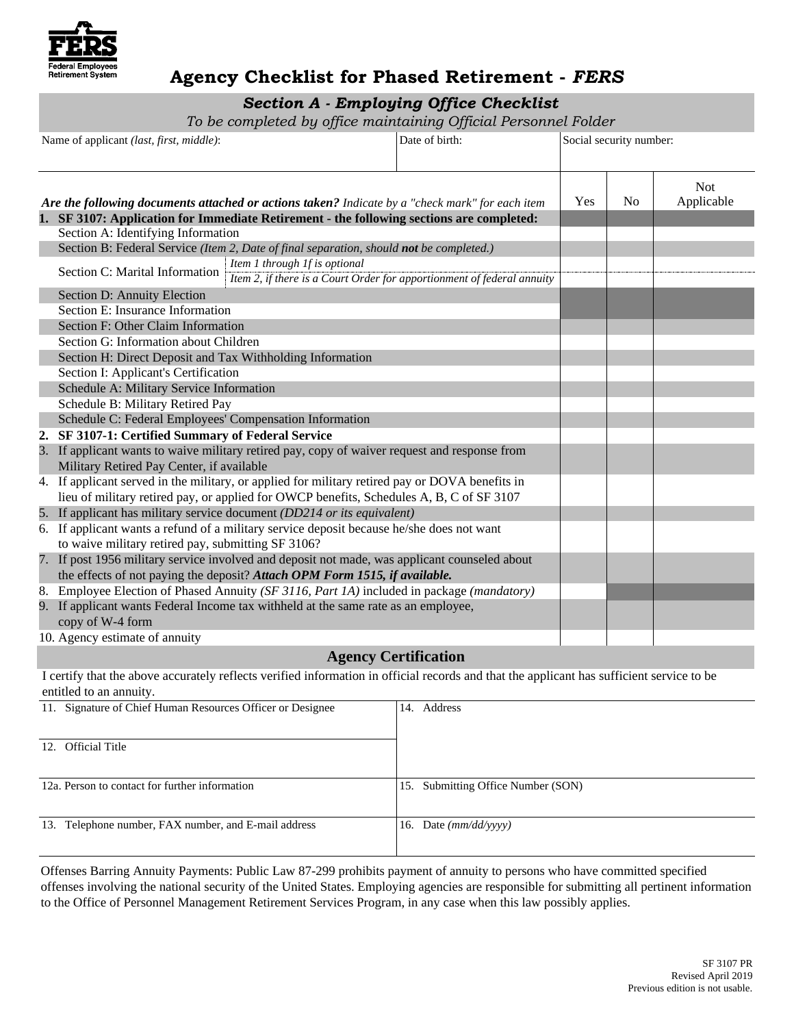

## **Agency Checklist for Phased Retirement -** *FERS*

## *Section A - Employing Office Checklist*

*To be completed by office maintaining Official Personnel Folder* 

| Name of applicant (last, first, middle):<br>Date of birth: |                                                                                           | Social security number:       |                                                                                                 |     |                |                          |
|------------------------------------------------------------|-------------------------------------------------------------------------------------------|-------------------------------|-------------------------------------------------------------------------------------------------|-----|----------------|--------------------------|
|                                                            |                                                                                           |                               | Are the following documents attached or actions taken? Indicate by a "check mark" for each item | Yes | N <sub>0</sub> | <b>Not</b><br>Applicable |
|                                                            | 1. SF 3107: Application for Immediate Retirement - the following sections are completed:  |                               |                                                                                                 |     |                |                          |
|                                                            | Section A: Identifying Information                                                        |                               |                                                                                                 |     |                |                          |
|                                                            | Section B: Federal Service (Item 2, Date of final separation, should not be completed.)   |                               |                                                                                                 |     |                |                          |
|                                                            | Section C: Marital Information                                                            | Item 1 through 1f is optional |                                                                                                 |     |                |                          |
|                                                            |                                                                                           |                               | Item 2, if there is a Court Order for apportionment of federal annuity                          |     |                |                          |
|                                                            | Section D: Annuity Election                                                               |                               |                                                                                                 |     |                |                          |
|                                                            | Section E: Insurance Information                                                          |                               |                                                                                                 |     |                |                          |
|                                                            | Section F: Other Claim Information                                                        |                               |                                                                                                 |     |                |                          |
|                                                            | Section G: Information about Children                                                     |                               |                                                                                                 |     |                |                          |
|                                                            | Section H: Direct Deposit and Tax Withholding Information                                 |                               |                                                                                                 |     |                |                          |
|                                                            | Section I: Applicant's Certification                                                      |                               |                                                                                                 |     |                |                          |
|                                                            | Schedule A: Military Service Information                                                  |                               |                                                                                                 |     |                |                          |
|                                                            | Schedule B: Military Retired Pay                                                          |                               |                                                                                                 |     |                |                          |
|                                                            | Schedule C: Federal Employees' Compensation Information                                   |                               |                                                                                                 |     |                |                          |
|                                                            | 2. SF 3107-1: Certified Summary of Federal Service                                        |                               |                                                                                                 |     |                |                          |
|                                                            | Military Retired Pay Center, if available                                                 |                               | 3. If applicant wants to waive military retired pay, copy of waiver request and response from   |     |                |                          |
|                                                            |                                                                                           |                               | 4. If applicant served in the military, or applied for military retired pay or DOVA benefits in |     |                |                          |
|                                                            |                                                                                           |                               | lieu of military retired pay, or applied for OWCP benefits, Schedules A, B, C of SF 3107        |     |                |                          |
|                                                            | 5. If applicant has military service document (DD214 or its equivalent)                   |                               |                                                                                                 |     |                |                          |
|                                                            | 6. If applicant wants a refund of a military service deposit because he/she does not want |                               |                                                                                                 |     |                |                          |
|                                                            | to waive military retired pay, submitting SF 3106?                                        |                               |                                                                                                 |     |                |                          |
|                                                            |                                                                                           |                               | 7. If post 1956 military service involved and deposit not made, was applicant counseled about   |     |                |                          |
|                                                            | the effects of not paying the deposit? Attach OPM Form 1515, if available.                |                               |                                                                                                 |     |                |                          |
|                                                            |                                                                                           |                               | 8. Employee Election of Phased Annuity (SF 3116, Part 1A) included in package (mandatory)       |     |                |                          |
|                                                            | 9. If applicant wants Federal Income tax withheld at the same rate as an employee,        |                               |                                                                                                 |     |                |                          |
|                                                            | copy of W-4 form                                                                          |                               |                                                                                                 |     |                |                          |
|                                                            | 10. Agency estimate of annuity                                                            |                               | $\sim$ $\sim$ $\sim$                                                                            |     |                |                          |

#### **Agency Certification**

 I certify that the above accurately reflects verified information in official records and that the applicant has sufficient service to be entitled to an annuity.

| 11. Signature of Chief Human Resources Officer or Designee | Address<br>14.                        |
|------------------------------------------------------------|---------------------------------------|
| 12. Official Title                                         |                                       |
| 12a. Person to contact for further information             | Submitting Office Number (SON)<br>15. |
| 13. Telephone number, FAX number, and E-mail address       | 16. Date $(mm/dd/vvvv)$               |

 to the Office of Personnel Management Retirement Services Program, in any case when this law possibly applies. Offenses Barring Annuity Payments: Public Law 87-299 prohibits payment of annuity to persons who have committed specified offenses involving the national security of the United States. Employing agencies are responsible for submitting all pertinent information